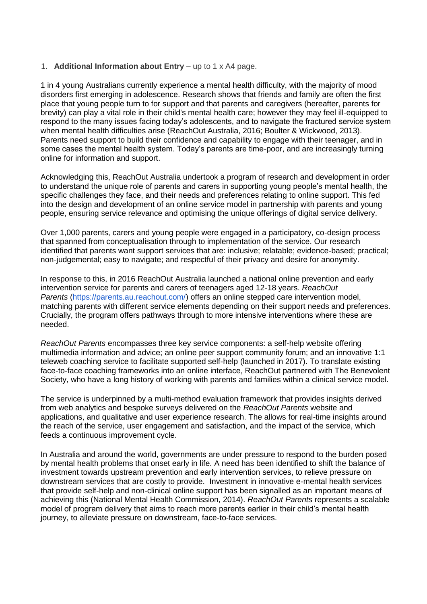### 1. **Additional Information about Entry** – up to 1 x A4 page.

1 in 4 young Australians currently experience a mental health difficulty, with the majority of mood disorders first emerging in adolescence. Research shows that friends and family are often the first place that young people turn to for support and that parents and caregivers (hereafter, parents for brevity) can play a vital role in their child's mental health care; however they may feel ill-equipped to respond to the many issues facing today's adolescents, and to navigate the fractured service system when mental health difficulties arise (ReachOut Australia, 2016; Boulter & Wickwood, 2013). Parents need support to build their confidence and capability to engage with their teenager, and in some cases the mental health system. Today's parents are time-poor, and are increasingly turning online for information and support.

Acknowledging this, ReachOut Australia undertook a program of research and development in order to understand the unique role of parents and carers in supporting young people's mental health, the specific challenges they face, and their needs and preferences relating to online support. This fed into the design and development of an online service model in partnership with parents and young people, ensuring service relevance and optimising the unique offerings of digital service delivery.

Over 1,000 parents, carers and young people were engaged in a participatory, co-design process that spanned from conceptualisation through to implementation of the service. Our research identified that parents want support services that are: inclusive; relatable; evidence-based; practical; non-judgemental; easy to navigate; and respectful of their privacy and desire for anonymity.

In response to this, in 2016 ReachOut Australia launched a national online prevention and early intervention service for parents and carers of teenagers aged 12-18 years. *ReachOut Parents* [\(https://parents.au.reachout.com/\)](https://parents.au.reachout.com/) offers an online stepped care intervention model, matching parents with different service elements depending on their support needs and preferences. Crucially, the program offers pathways through to more intensive interventions where these are needed.

*ReachOut Parents* encompasses three key service components: a self-help website offering multimedia information and advice; an online peer support community forum; and an innovative 1:1 teleweb coaching service to facilitate supported self-help (launched in 2017). To translate existing face-to-face coaching frameworks into an online interface, ReachOut partnered with The Benevolent Society, who have a long history of working with parents and families within a clinical service model.

The service is underpinned by a multi-method evaluation framework that provides insights derived from web analytics and bespoke surveys delivered on the *ReachOut Parents* website and applications, and qualitative and user experience research. The allows for real-time insights around the reach of the service, user engagement and satisfaction, and the impact of the service, which feeds a continuous improvement cycle.

In Australia and around the world, governments are under pressure to respond to the burden posed by mental health problems that onset early in life. A need has been identified to shift the balance of investment towards upstream prevention and early intervention services, to relieve pressure on downstream services that are costly to provide. Investment in innovative e-mental health services that provide self-help and non-clinical online support has been signalled as an important means of achieving this (National Mental Health Commission, 2014). *ReachOut Parents* represents a scalable model of program delivery that aims to reach more parents earlier in their child's mental health journey, to alleviate pressure on downstream, face-to-face services.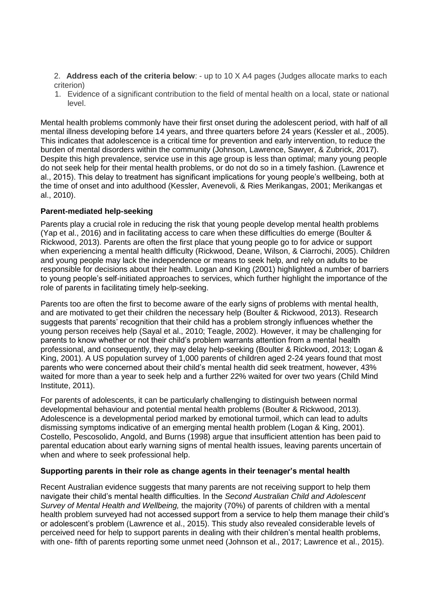2. **Address each of the criteria below**: - up to 10 X A4 pages (Judges allocate marks to each criterion)

1. Evidence of a significant contribution to the field of mental health on a local, state or national level.

Mental health problems commonly have their first onset during the adolescent period, with half of all mental illness developing before 14 years, and three quarters before 24 years [\(Kessler et al., 2005\)](about:blank). This indicates that adolescence is a critical time for prevention and early intervention, to reduce the burden of mental disorders within the community [\(Johnson, Lawrence, Sawyer, & Zubrick, 2017\)](about:blank). Despite this high prevalence, service use in this age group is less than optimal; many young people do not seek help for their mental health problems, or do not do so in a timely fashion. (Lawrence et al., 2015). This delay to treatment has significant implications for young people's wellbeing, both at the time of onset and into adulthood [\(Kessler, Avenevoli, & Ries Merikangas, 2001; Merikangas et](about:blank)  [al., 2010\)](about:blank).

# **Parent-mediated help-seeking**

Parents play a crucial role in reducing the risk that young people develop mental health problems [\(Yap et al., 2016\)](about:blank) and in facilitating access to care when these difficulties do emerge [\(Boulter &](about:blank)  [Rickwood, 2013\)](about:blank). Parents are often the first place that young people go to for advice or support when experiencing a mental health difficulty [\(Rickwood, Deane, Wilson, & Ciarrochi, 2005\)](about:blank). Children and young people may lack the independence or means to seek help, and rely on adults to be responsible for decisions about their health. [Logan and King \(2001\)](about:blank) highlighted a number of barriers to young people's self-initiated approaches to services, which further highlight the importance of the role of parents in facilitating timely help-seeking.

Parents too are often the first to become aware of the early signs of problems with mental health, and are motivated to get their children the necessary help [\(Boulter & Rickwood, 2013\)](about:blank). Research suggests that parents' recognition that their child has a problem strongly influences whether the young person receives help [\(Sayal et al., 2010; Teagle, 2002\)](about:blank). However, it may be challenging for parents to know whether or not their child's problem warrants attention from a mental health professional, and consequently, they may delay help-seeking [\(Boulter & Rickwood, 2013; Logan &](about:blank)  [King, 2001\)](about:blank). A US population survey of 1,000 parents of children aged 2-24 years found that most parents who were concerned about their child's mental health did seek treatment, however, 43% waited for more than a year to seek help and a further 22% waited for over two years [\(Child Mind](about:blank)  [Institute, 2011\)](about:blank).

For parents of adolescents, it can be particularly challenging to distinguish between normal developmental behaviour and potential mental health problems [\(Boulter & Rickwood, 2013\)](about:blank). Adolescence is a developmental period marked by emotional turmoil, which can lead to adults dismissing symptoms indicative of an emerging mental health problem [\(Logan & King, 2001\)](about:blank). [Costello, Pescosolido, Angold, and Burns \(1998\)](about:blank) argue that insufficient attention has been paid to parental education about early warning signs of mental health issues, leaving parents uncertain of when and where to seek professional help.

# **Supporting parents in their role as change agents in their teenager's mental health**

Recent Australian evidence suggests that many parents are not receiving support to help them navigate their child's mental health difficulties. In the *Second Australian Child and Adolescent Survey of Mental Health and Wellbeing,* the majority (70%) of parents of children with a mental health problem surveyed had not accessed support from a service to help them manage their child's or adolescent's problem [\(Lawrence et al., 2015\)](about:blank). This study also revealed considerable levels of perceived need for help to support parents in dealing with their children's mental health problems, with one- fifth of parents reporting some unmet need [\(Johnson et al., 2017; Lawrence et al., 2015\)](about:blank).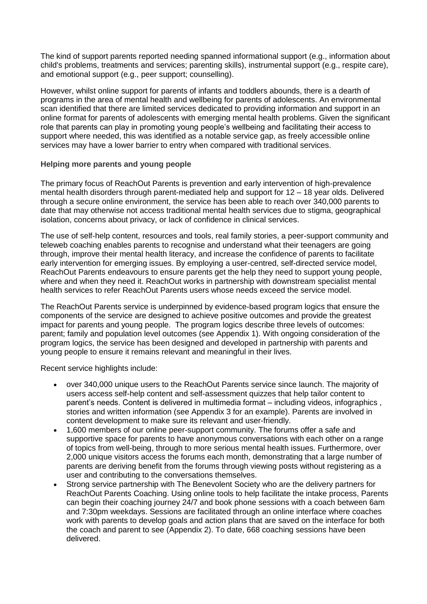The kind of support parents reported needing spanned informational support (e.g., information about child's problems, treatments and services; parenting skills), instrumental support (e.g., respite care), and emotional support (e.g., peer support; counselling).

However, whilst online support for parents of infants and toddlers abounds, there is a dearth of programs in the area of mental health and wellbeing for parents of adolescents. An environmental scan identified that there are limited services dedicated to providing information and support in an online format for parents of adolescents with emerging mental health problems. Given the significant role that parents can play in promoting young people's wellbeing and facilitating their access to support where needed, this was identified as a notable service gap, as freely accessible online services may have a lower barrier to entry when compared with traditional services.

### **Helping more parents and young people**

The primary focus of ReachOut Parents is prevention and early intervention of high-prevalence mental health disorders through parent-mediated help and support for 12 – 18 year olds. Delivered through a secure online environment, the service has been able to reach over 340,000 parents to date that may otherwise not access traditional mental health services due to stigma, geographical isolation, concerns about privacy, or lack of confidence in clinical services.

The use of self-help content, resources and tools, real family stories, a peer-support community and teleweb coaching enables parents to recognise and understand what their teenagers are going through, improve their mental health literacy, and increase the confidence of parents to facilitate early intervention for emerging issues. By employing a user-centred, self-directed service model, ReachOut Parents endeavours to ensure parents get the help they need to support young people, where and when they need it. ReachOut works in partnership with downstream specialist mental health services to refer ReachOut Parents users whose needs exceed the service model.

The ReachOut Parents service is underpinned by evidence-based program logics that ensure the components of the service are designed to achieve positive outcomes and provide the greatest impact for parents and young people. The program logics describe three levels of outcomes: parent; family and population level outcomes (see Appendix 1). With ongoing consideration of the program logics, the service has been designed and developed in partnership with parents and young people to ensure it remains relevant and meaningful in their lives.

Recent service highlights include:

- over 340,000 unique users to the ReachOut Parents service since launch. The majority of users access self-help content and self-assessment quizzes that help tailor content to parent's needs. Content is delivered in multimedia format – including videos, infographics , stories and written information (see Appendix 3 for an example). Parents are involved in content development to make sure its relevant and user-friendly.
- 1,600 members of our online peer-support community. The forums offer a safe and supportive space for parents to have anonymous conversations with each other on a range of topics from well-being, through to more serious mental health issues. Furthermore, over 2,000 unique visitors access the forums each month, demonstrating that a large number of parents are deriving benefit from the forums through viewing posts without registering as a user and contributing to the conversations themselves.
- Strong service partnership with The Benevolent Society who are the delivery partners for ReachOut Parents Coaching. Using online tools to help facilitate the intake process, Parents can begin their coaching journey 24/7 and book phone sessions with a coach between 6am and 7:30pm weekdays. Sessions are facilitated through an online interface where coaches work with parents to develop goals and action plans that are saved on the interface for both the coach and parent to see (Appendix 2). To date, 668 coaching sessions have been delivered.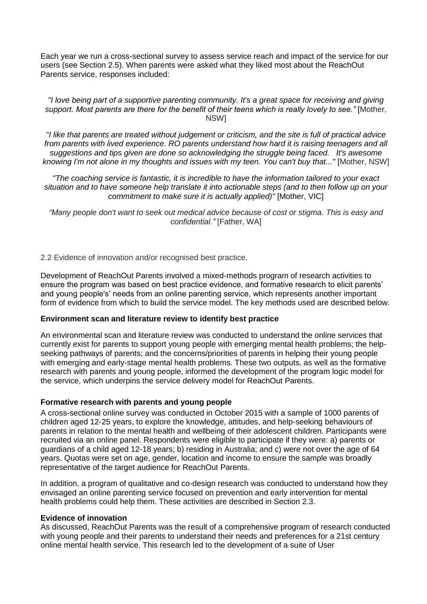Each year we run a cross-sectional survey to assess service reach and impact of the service for our users (see Section 2.5). When parents were asked what they liked most about the ReachOut Parents service, responses included:

#### *"I love being part of a supportive parenting community. It's a great space for receiving and giving support. Most parents are there for the benefit of their teens which is really lovely to see."* [Mother, NSW]

*"I like that parents are treated without judgement or criticism, and the site is full of practical advice from parents with lived experience. RO parents understand how hard it is raising teenagers and all suggestions and tips given are done so acknowledging the struggle being faced. It's awesome knowing I'm not alone in my thoughts and issues with my teen. You can't buy that..."* [Mother, NSW]

*"The coaching service is fantastic, it is incredible to have the information tailored to your exact situation and to have someone help translate it into actionable steps (and to then follow up on your commitment to make sure it is actually applied)"* [Mother, VIC]

*"Many people don't want to seek out medical advice because of cost or stigma. This is easy and confidential."* [Father, WA]

2.2 Evidence of innovation and/or recognised best practice.

Development of ReachOut Parents involved a mixed-methods program of research activities to ensure the program was based on best practice evidence, and formative research to elicit parents' and young people's' needs from an online parenting service, which represents another important form of evidence from which to build the service model. The key methods used are described below.

# **Environment scan and literature review to identify best practice**

An environmental scan and literature review was conducted to understand the online services that currently exist for parents to support young people with emerging mental health problems; the helpseeking pathways of parents; and the concerns/priorities of parents in helping their young people with emerging and early-stage mental health problems. These two outputs, as well as the formative research with parents and young people, informed the development of the program logic model for the service, which underpins the service delivery model for ReachOut Parents.

# **Formative research with parents and young people**

A cross-sectional online survey was conducted in October 2015 with a sample of 1000 parents of children aged 12-25 years, to explore the knowledge, attitudes, and help-seeking behaviours of parents in relation to the mental health and wellbeing of their adolescent children. Participants were recruited via an online panel. Respondents were eligible to participate if they were: a) parents or guardians of a child aged 12-18 years; b) residing in Australia; and c) were not over the age of 64 years. Quotas were set on age, gender, location and income to ensure the sample was broadly representative of the target audience for ReachOut Parents.

In addition, a program of qualitative and co-design research was conducted to understand how they envisaged an online parenting service focused on prevention and early intervention for mental health problems could help them. These activities are described in Section 2.3.

#### **Evidence of innovation**

As discussed, ReachOut Parents was the result of a comprehensive program of research conducted with young people and their parents to understand their needs and preferences for a 21st century online mental health service. This research led to the development of a suite of User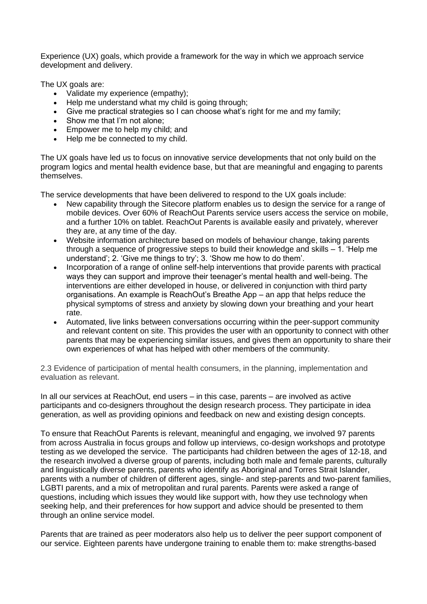Experience (UX) goals, which provide a framework for the way in which we approach service development and delivery.

The UX goals are:

- Validate my experience (empathy);
- Help me understand what my child is going through;
- Give me practical strategies so I can choose what's right for me and my family;
- Show me that I'm not alone;
- Empower me to help my child; and
- Help me be connected to my child.

The UX goals have led us to focus on innovative service developments that not only build on the program logics and mental health evidence base, but that are meaningful and engaging to parents themselves.

The service developments that have been delivered to respond to the UX goals include:

- New capability through the Sitecore platform enables us to design the service for a range of mobile devices. Over 60% of ReachOut Parents service users access the service on mobile, and a further 10% on tablet. ReachOut Parents is available easily and privately, wherever they are, at any time of the day.
- Website information architecture based on models of behaviour change, taking parents through a sequence of progressive steps to build their knowledge and skills – 1. 'Help me understand'; 2. 'Give me things to try'; 3. 'Show me how to do them'.
- Incorporation of a range of online self-help interventions that provide parents with practical ways they can support and improve their teenager's mental health and well-being. The interventions are either developed in house, or delivered in conjunction with third party organisations. An example is ReachOut's Breathe App – an app that helps reduce the physical symptoms of stress and anxiety by slowing down your breathing and your heart rate.
- Automated, live links between conversations occurring within the peer-support community and relevant content on site. This provides the user with an opportunity to connect with other parents that may be experiencing similar issues, and gives them an opportunity to share their own experiences of what has helped with other members of the community.

2.3 Evidence of participation of mental health consumers, in the planning, implementation and evaluation as relevant.

In all our services at ReachOut, end users – in this case, parents – are involved as active participants and co-designers throughout the design research process. They participate in idea generation, as well as providing opinions and feedback on new and existing design concepts.

To ensure that ReachOut Parents is relevant, meaningful and engaging, we involved 97 parents from across Australia in focus groups and follow up interviews, co-design workshops and prototype testing as we developed the service. The participants had children between the ages of 12-18, and the research involved a diverse group of parents, including both male and female parents, culturally and linguistically diverse parents, parents who identify as Aboriginal and Torres Strait Islander, parents with a number of children of different ages, single- and step-parents and two-parent families, LGBTI parents, and a mix of metropolitan and rural parents. Parents were asked a range of questions, including which issues they would like support with, how they use technology when seeking help, and their preferences for how support and advice should be presented to them through an online service model.

Parents that are trained as peer moderators also help us to deliver the peer support component of our service. Eighteen parents have undergone training to enable them to: make strengths-based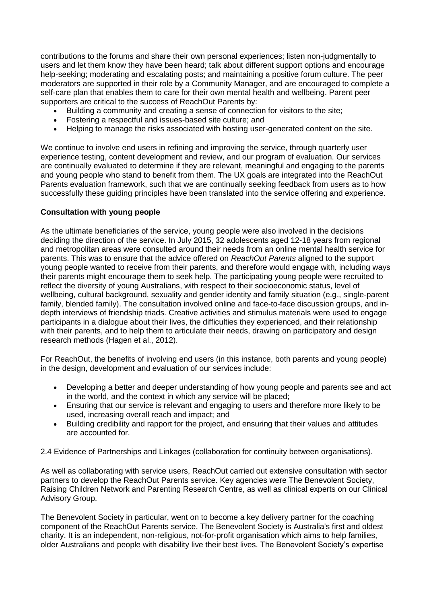contributions to the forums and share their own personal experiences; listen non-judgmentally to users and let them know they have been heard; talk about different support options and encourage help-seeking; moderating and escalating posts; and maintaining a positive forum culture. The peer moderators are supported in their role by a Community Manager, and are encouraged to complete a self-care plan that enables them to care for their own mental health and wellbeing. Parent peer supporters are critical to the success of ReachOut Parents by:

- Building a community and creating a sense of connection for visitors to the site;
- Fostering a respectful and issues-based site culture; and
- Helping to manage the risks associated with hosting user-generated content on the site.

We continue to involve end users in refining and improving the service, through quarterly user experience testing, content development and review, and our program of evaluation. Our services are continually evaluated to determine if they are relevant, meaningful and engaging to the parents and young people who stand to benefit from them. The UX goals are integrated into the ReachOut Parents evaluation framework, such that we are continually seeking feedback from users as to how successfully these guiding principles have been translated into the service offering and experience.

# **Consultation with young people**

As the ultimate beneficiaries of the service, young people were also involved in the decisions deciding the direction of the service. In July 2015, 32 adolescents aged 12-18 years from regional and metropolitan areas were consulted around their needs from an online mental health service for parents. This was to ensure that the advice offered on *ReachOut Parents* aligned to the support young people wanted to receive from their parents, and therefore would engage with, including ways their parents might encourage them to seek help. The participating young people were recruited to reflect the diversity of young Australians, with respect to their socioeconomic status, level of wellbeing, cultural background, sexuality and gender identity and family situation (e.g., single-parent family, blended family). The consultation involved online and face-to-face discussion groups, and indepth interviews of friendship triads. Creative activities and stimulus materials were used to engage participants in a dialogue about their lives, the difficulties they experienced, and their relationship with their parents, and to help them to articulate their needs, drawing on participatory and design research methods [\(Hagen et al., 2012\)](about:blank).

For ReachOut, the benefits of involving end users (in this instance, both parents and young people) in the design, development and evaluation of our services include:

- Developing a better and deeper understanding of how young people and parents see and act in the world, and the context in which any service will be placed;
- Ensuring that our service is relevant and engaging to users and therefore more likely to be used, increasing overall reach and impact; and
- Building credibility and rapport for the project, and ensuring that their values and attitudes are accounted for.

2.4 Evidence of Partnerships and Linkages (collaboration for continuity between organisations).

As well as collaborating with service users, ReachOut carried out extensive consultation with sector partners to develop the ReachOut Parents service. Key agencies were The Benevolent Society, Raising Children Network and Parenting Research Centre, as well as clinical experts on our Clinical Advisory Group.

The Benevolent Society in particular, went on to become a key delivery partner for the coaching component of the ReachOut Parents service. The Benevolent Society is Australia's first and oldest charity. It is an independent, non-religious, not-for-profit organisation which aims to help families, older Australians and people with disability live their best lives. The Benevolent Society's expertise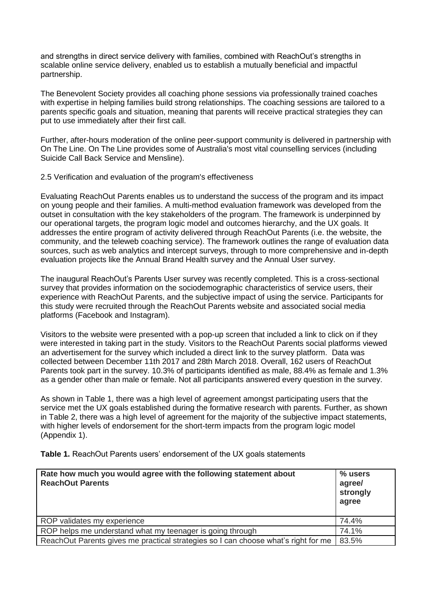and strengths in direct service delivery with families, combined with ReachOut's strengths in scalable online service delivery, enabled us to establish a mutually beneficial and impactful partnership.

The Benevolent Society provides all coaching phone sessions via professionally trained coaches with expertise in helping families build strong relationships. The coaching sessions are tailored to a parents specific goals and situation, meaning that parents will receive practical strategies they can put to use immediately after their first call.

Further, after-hours moderation of the online peer-support community is delivered in partnership with On The Line. On The Line provides some of Australia's most vital counselling services (including Suicide Call Back Service and Mensline).

2.5 Verification and evaluation of the program's effectiveness

Evaluating ReachOut Parents enables us to understand the success of the program and its impact on young people and their families. A multi-method evaluation framework was developed from the outset in consultation with the key stakeholders of the program. The framework is underpinned by our operational targets, the program logic model and outcomes hierarchy, and the UX goals. It addresses the entire program of activity delivered through ReachOut Parents (i.e. the website, the community, and the teleweb coaching service). The framework outlines the range of evaluation data sources, such as web analytics and intercept surveys, through to more comprehensive and in-depth evaluation projects like the Annual Brand Health survey and the Annual User survey.

The inaugural ReachOut's Parents User survey was recently completed. This is a cross-sectional survey that provides information on the sociodemographic characteristics of service users, their experience with ReachOut Parents, and the subjective impact of using the service. Participants for this study were recruited through the ReachOut Parents website and associated social media platforms (Facebook and Instagram).

Visitors to the website were presented with a pop-up screen that included a link to click on if they were interested in taking part in the study. Visitors to the ReachOut Parents social platforms viewed an advertisement for the survey which included a direct link to the survey platform. Data was collected between December 11th 2017 and 28th March 2018. Overall, 162 users of ReachOut Parents took part in the survey. 10.3% of participants identified as male, 88.4% as female and 1.3% as a gender other than male or female. Not all participants answered every question in the survey.

As shown in Table 1, there was a high level of agreement amongst participating users that the service met the UX goals established during the formative research with parents. Further, as shown in Table 2, there was a high level of agreement for the majority of the subjective impact statements, with higher levels of endorsement for the short-term impacts from the program logic model (Appendix 1).

**Table 1.** ReachOut Parents users' endorsement of the UX goals statements

| Rate how much you would agree with the following statement about<br><b>ReachOut Parents</b> | % users<br>agree/<br>strongly<br>agree |
|---------------------------------------------------------------------------------------------|----------------------------------------|
| ROP validates my experience                                                                 | 74.4%                                  |
| ROP helps me understand what my teenager is going through                                   | 74.1%                                  |
| ReachOut Parents gives me practical strategies so I can choose what's right for me          | 83.5%                                  |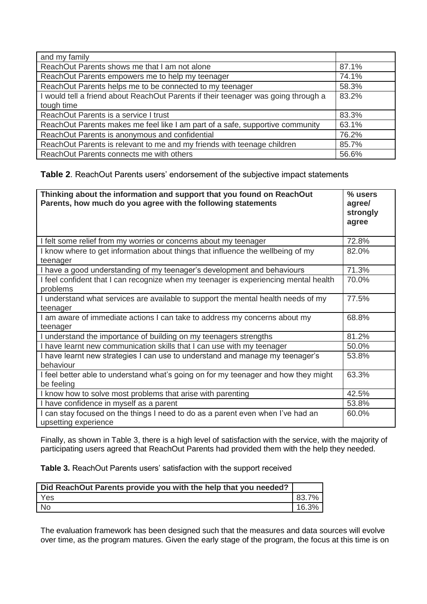| and my family                                                                                    |       |
|--------------------------------------------------------------------------------------------------|-------|
| ReachOut Parents shows me that I am not alone                                                    | 87.1% |
| ReachOut Parents empowers me to help my teenager                                                 | 74.1% |
| ReachOut Parents helps me to be connected to my teenager                                         | 58.3% |
| I would tell a friend about ReachOut Parents if their teenager was going through a<br>tough time | 83.2% |
| ReachOut Parents is a service I trust                                                            | 83.3% |
| ReachOut Parents makes me feel like I am part of a safe, supportive community                    | 63.1% |
| ReachOut Parents is anonymous and confidential                                                   | 76.2% |
| ReachOut Parents is relevant to me and my friends with teenage children                          | 85.7% |
| ReachOut Parents connects me with others                                                         | 56.6% |

**Table 2**. ReachOut Parents users' endorsement of the subjective impact statements

| Thinking about the information and support that you found on ReachOut<br>Parents, how much do you agree with the following statements | % users<br>agree/<br>strongly<br>agree |
|---------------------------------------------------------------------------------------------------------------------------------------|----------------------------------------|
| I felt some relief from my worries or concerns about my teenager                                                                      | 72.8%                                  |
| I know where to get information about things that influence the wellbeing of my<br>teenager                                           | 82.0%                                  |
| I have a good understanding of my teenager's development and behaviours                                                               | 71.3%                                  |
| I feel confident that I can recognize when my teenager is experiencing mental health<br>problems                                      | 70.0%                                  |
| I understand what services are available to support the mental health needs of my<br>teenager                                         | 77.5%                                  |
| am aware of immediate actions I can take to address my concerns about my<br>teenager                                                  | 68.8%                                  |
| I understand the importance of building on my teenagers strengths                                                                     | 81.2%                                  |
| I have learnt new communication skills that I can use with my teenager                                                                | 50.0%                                  |
| I have learnt new strategies I can use to understand and manage my teenager's<br>behaviour                                            | 53.8%                                  |
| I feel better able to understand what's going on for my teenager and how they might<br>be feeling                                     | 63.3%                                  |
| I know how to solve most problems that arise with parenting                                                                           | 42.5%                                  |
| I have confidence in myself as a parent                                                                                               | 53.8%                                  |
| I can stay focused on the things I need to do as a parent even when I've had an<br>upsetting experience                               | 60.0%                                  |

Finally, as shown in Table 3, there is a high level of satisfaction with the service, with the majority of participating users agreed that ReachOut Parents had provided them with the help they needed.

**Table 3.** ReachOut Parents users' satisfaction with the support received

| Did ReachOut Parents provide you with the help that you needed? |       |
|-----------------------------------------------------------------|-------|
| Yes                                                             | 83.7% |
| - No                                                            | 16.3% |

The evaluation framework has been designed such that the measures and data sources will evolve over time, as the program matures. Given the early stage of the program, the focus at this time is on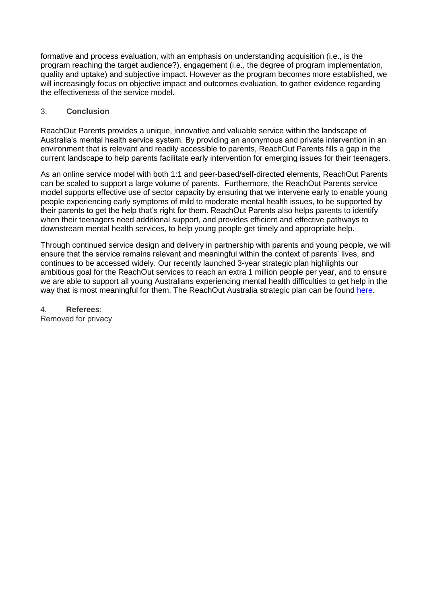formative and process evaluation, with an emphasis on understanding acquisition (i.e., is the program reaching the target audience?), engagement (i.e., the degree of program implementation, quality and uptake) and subiective impact. However as the program becomes more established, we will increasingly focus on objective impact and outcomes evaluation, to gather evidence regarding the effectiveness of the service model.

# 3. **Conclusion**

ReachOut Parents provides a unique, innovative and valuable service within the landscape of Australia's mental health service system. By providing an anonymous and private intervention in an environment that is relevant and readily accessible to parents, ReachOut Parents fills a gap in the current landscape to help parents facilitate early intervention for emerging issues for their teenagers.

As an online service model with both 1:1 and peer-based/self-directed elements, ReachOut Parents can be scaled to support a large volume of parents. Furthermore, the ReachOut Parents service model supports effective use of sector capacity by ensuring that we intervene early to enable young people experiencing early symptoms of mild to moderate mental health issues, to be supported by their parents to get the help that's right for them. ReachOut Parents also helps parents to identify when their teenagers need additional support, and provides efficient and effective pathways to downstream mental health services, to help young people get timely and appropriate help.

Through continued service design and delivery in partnership with parents and young people, we will ensure that the service remains relevant and meaningful within the context of parents' lives, and continues to be accessed widely. Our recently launched 3-year strategic plan highlights our ambitious goal for the ReachOut services to reach an extra 1 million people per year, and to ensure we are able to support all young Australians experiencing mental health difficulties to get help in the way that is most meaningful for them. The ReachOut Australia strategic plan can be found [here.](https://about.au.reachout.com/reachouts-plan-to-reach-a-million-more-young-people-and-parents-by-2020/)

4. **Referees**: Removed for privacy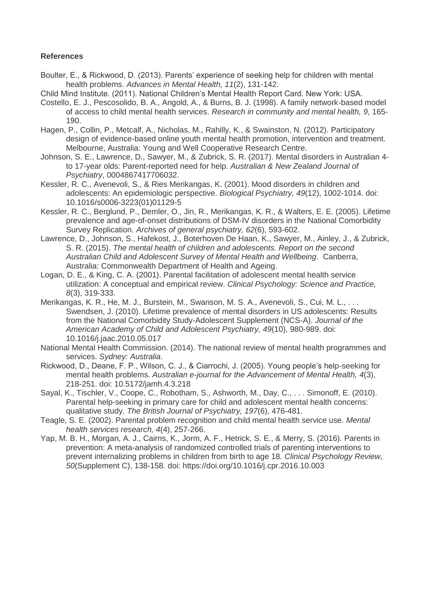### **References**

- Boulter, E., & Rickwood, D. (2013). Parents' experience of seeking help for children with mental health problems. *Advances in Mental Health, 11*(2), 131-142.
- Child Mind Institute. (2011). National Children's Mental Health Report Card. New York: USA.
- Costello, E. J., Pescosolido, B. A., Angold, A., & Burns, B. J. (1998). A family network-based model of access to child mental health services. *Research in community and mental health, 9*, 165- 190.
- Hagen, P., Collin, P., Metcalf, A., Nicholas, M., Rahilly, K., & Swainston, N. (2012). Participatory design of evidence-based online youth mental health promotion, intervention and treatment. Melbourne, Australia: Young and Well Cooperative Research Centre.
- Johnson, S. E., Lawrence, D., Sawyer, M., & Zubrick, S. R. (2017). Mental disorders in Australian 4 to 17-year olds: Parent-reported need for help. *Australian & New Zealand Journal of Psychiatry*, 0004867417706032.
- Kessler, R. C., Avenevoli, S., & Ries Merikangas, K. (2001). Mood disorders in children and adolescents: An epidemiologic perspective. *Biological Psychiatry, 49*(12), 1002-1014. doi: 10.1016/s0006-3223(01)01129-5
- Kessler, R. C., Berglund, P., Demler, O., Jin, R., Merikangas, K. R., & Walters, E. E. (2005). Lifetime prevalence and age-of-onset distributions of DSM-IV disorders in the National Comorbidity Survey Replication. *Archives of general psychiatry, 62*(6), 593-602.
- Lawrence, D., Johnson, S., Hafekost, J., Boterhoven De Haan, K., Sawyer, M., Ainley, J., & Zubrick, S. R. (2015). *The mental health of children and adolescents. Report on the second Australian Child and Adolescent Survey of Mental Health and Wellbeing*. Canberra, Australia: Commonwealth Department of Health and Ageing.
- Logan, D. E., & King, C. A. (2001). Parental facilitation of adolescent mental health service utilization: A conceptual and empirical review. *Clinical Psychology: Science and Practice, 8*(3), 319-333.
- Merikangas, K. R., He, M. J., Burstein, M., Swanson, M. S. A., Avenevoli, S., Cui, M. L., . . . Swendsen, J. (2010). Lifetime prevalence of mental disorders in US adolescents: Results from the National Comorbidity Study-Adolescent Supplement (NCS-A). *Journal of the American Academy of Child and Adolescent Psychiatry, 49*(10), 980-989. doi: 10.1016/j.jaac.2010.05.017
- National Mental Health Commission. (2014). The national review of mental health programmes and services. *Sydney: Australia*.
- Rickwood, D., Deane, F. P., Wilson, C. J., & Ciarrochi, J. (2005). Young people's help-seeking for mental health problems. *Australian e-journal for the Advancement of Mental Health, 4*(3), 218-251. doi: 10.5172/jamh.4.3.218
- Sayal, K., Tischler, V., Coope, C., Robotham, S., Ashworth, M., Day, C., . . . Simonoff, E. (2010). Parental help-seeking in primary care for child and adolescent mental health concerns: qualitative study. *The British Journal of Psychiatry, 197*(6), 476-481.
- Teagle, S. E. (2002). Parental problem recognition and child mental health service use. *Mental health services research, 4*(4), 257-266.
- Yap, M. B. H., Morgan, A. J., Cairns, K., Jorm, A. F., Hetrick, S. E., & Merry, S. (2016). Parents in prevention: A meta-analysis of randomized controlled trials of parenting interventions to prevent internalizing problems in children from birth to age 18. *Clinical Psychology Review, 50*(Supplement C), 138-158. doi: https://doi.org/10.1016/j.cpr.2016.10.003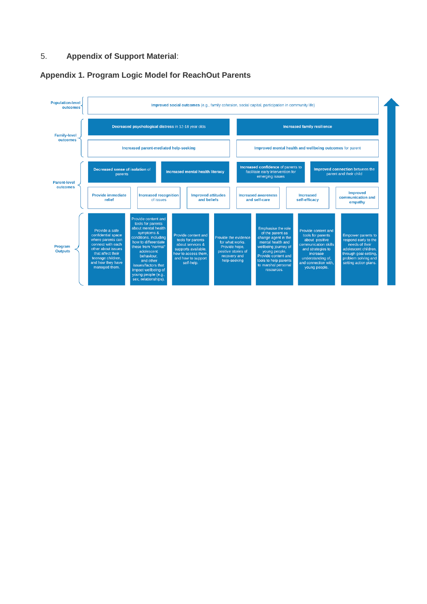# 5. **Appendix of Support Material**:

#### **Appendix 1. Program Logic Model for ReachOut Parents**

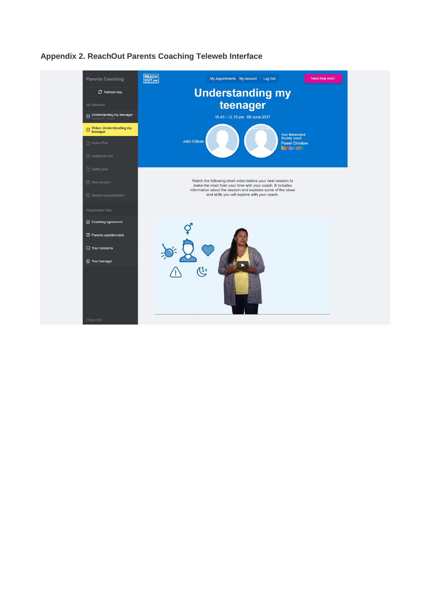

# **Appendix 2. ReachOut Parents Coaching Teleweb Interface**